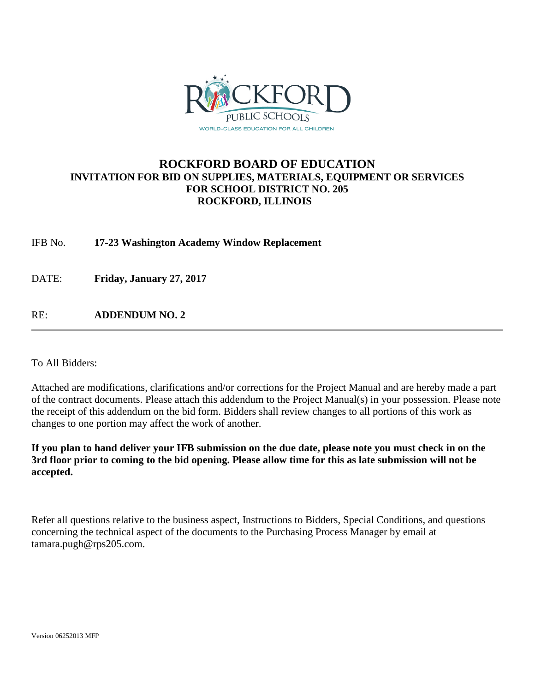

#### **ROCKFORD BOARD OF EDUCATION INVITATION FOR BID ON SUPPLIES, MATERIALS, EQUIPMENT OR SERVICES FOR SCHOOL DISTRICT NO. 205 ROCKFORD, ILLINOIS**

IFB No. **17-23 Washington Academy Window Replacement**

DATE: **Friday, January 27, 2017**

RE: **ADDENDUM NO. 2**

To All Bidders:

Attached are modifications, clarifications and/or corrections for the Project Manual and are hereby made a part of the contract documents. Please attach this addendum to the Project Manual(s) in your possession. Please note the receipt of this addendum on the bid form. Bidders shall review changes to all portions of this work as changes to one portion may affect the work of another.

**If you plan to hand deliver your IFB submission on the due date, please note you must check in on the 3rd floor prior to coming to the bid opening. Please allow time for this as late submission will not be accepted.**

Refer all questions relative to the business aspect, Instructions to Bidders, Special Conditions, and questions concerning the technical aspect of the documents to the Purchasing Process Manager by email at tamara.pugh@rps205.com.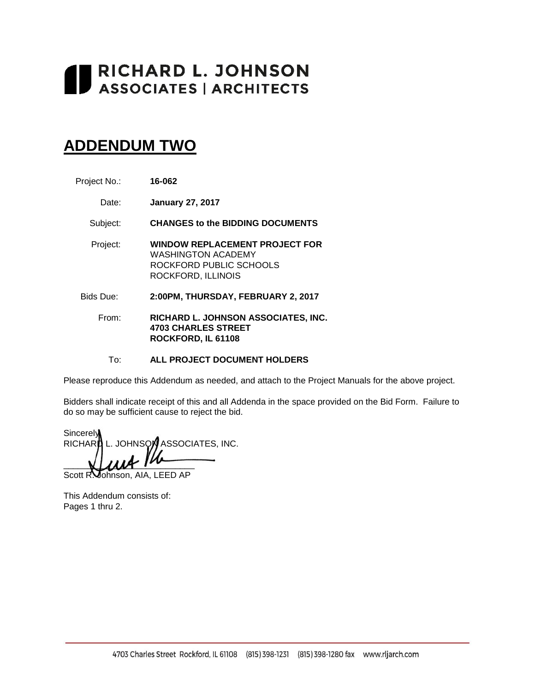# RICHARD L. JOHNSON<br>ASSOCIATES | ARCHITECTS

## **ADDENDUM TWO**

| Project No.: | 16-062 |
|--------------|--------|
|--------------|--------|

Date: **January 27, 2017**

Subject: **CHANGES to the BIDDING DOCUMENTS**

- Project: **WINDOW REPLACEMENT PROJECT FOR** WASHINGTON ACADEMY ROCKFORD PUBLIC SCHOOLS ROCKFORD, ILLINOIS
- Bids Due: **2:00PM, THURSDAY, FEBRUARY 2, 2017**
	- From: **RICHARD L. JOHNSON ASSOCIATES, INC. 4703 CHARLES STREET ROCKFORD, IL 61108**

To: **ALL PROJECT DOCUMENT HOLDERS**

Please reproduce this Addendum as needed, and attach to the Project Manuals for the above project.

Bidders shall indicate receipt of this and all Addenda in the space provided on the Bid Form. Failure to do so may be sufficient cause to reject the bid.

**Sincerely** RICHARD L. JOHNSON ASSOCIATES, INC.  $\blacksquare$ 

Scott R. Johnson, AIA, LEED AP

This Addendum consists of: Pages 1 thru 2.